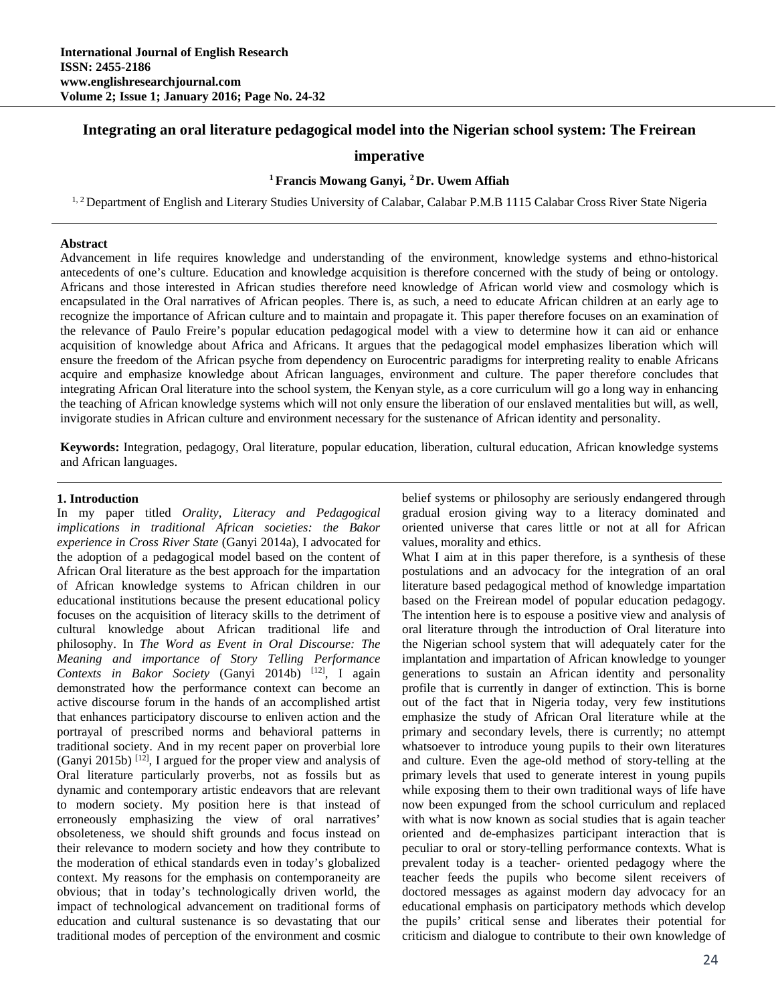# **Integrating an oral literature pedagogical model into the Nigerian school system: The Freirean**

## **imperative**

## **1 Francis Mowang Ganyi, 2 Dr. Uwem Affiah**

<sup>1, 2</sup> Department of English and Literary Studies University of Calabar, Calabar P.M.B 1115 Calabar Cross River State Nigeria

#### **Abstract**

Advancement in life requires knowledge and understanding of the environment, knowledge systems and ethno-historical antecedents of one's culture. Education and knowledge acquisition is therefore concerned with the study of being or ontology. Africans and those interested in African studies therefore need knowledge of African world view and cosmology which is encapsulated in the Oral narratives of African peoples. There is, as such, a need to educate African children at an early age to recognize the importance of African culture and to maintain and propagate it. This paper therefore focuses on an examination of the relevance of Paulo Freire's popular education pedagogical model with a view to determine how it can aid or enhance acquisition of knowledge about Africa and Africans. It argues that the pedagogical model emphasizes liberation which will ensure the freedom of the African psyche from dependency on Eurocentric paradigms for interpreting reality to enable Africans acquire and emphasize knowledge about African languages, environment and culture. The paper therefore concludes that integrating African Oral literature into the school system, the Kenyan style, as a core curriculum will go a long way in enhancing the teaching of African knowledge systems which will not only ensure the liberation of our enslaved mentalities but will, as well, invigorate studies in African culture and environment necessary for the sustenance of African identity and personality.

**Keywords:** Integration, pedagogy, Oral literature, popular education, liberation, cultural education, African knowledge systems and African languages.

#### **1. Introduction**

In my paper titled *Orality, Literacy and Pedagogical implications in traditional African societies: the Bakor experience in Cross River State* (Ganyi 2014a), I advocated for the adoption of a pedagogical model based on the content of African Oral literature as the best approach for the impartation of African knowledge systems to African children in our educational institutions because the present educational policy focuses on the acquisition of literacy skills to the detriment of cultural knowledge about African traditional life and philosophy. In *The Word as Event in Oral Discourse: The Meaning and importance of Story Telling Performance Contexts in Bakor Society* (Ganyi 2014b) [12], I again demonstrated how the performance context can become an active discourse forum in the hands of an accomplished artist that enhances participatory discourse to enliven action and the portrayal of prescribed norms and behavioral patterns in traditional society. And in my recent paper on proverbial lore (Ganyi 2015b)  $[12]$ , I argued for the proper view and analysis of Oral literature particularly proverbs, not as fossils but as dynamic and contemporary artistic endeavors that are relevant to modern society. My position here is that instead of erroneously emphasizing the view of oral narratives' obsoleteness, we should shift grounds and focus instead on their relevance to modern society and how they contribute to the moderation of ethical standards even in today's globalized context. My reasons for the emphasis on contemporaneity are obvious; that in today's technologically driven world, the impact of technological advancement on traditional forms of education and cultural sustenance is so devastating that our traditional modes of perception of the environment and cosmic

belief systems or philosophy are seriously endangered through gradual erosion giving way to a literacy dominated and oriented universe that cares little or not at all for African values, morality and ethics.

What I aim at in this paper therefore, is a synthesis of these postulations and an advocacy for the integration of an oral literature based pedagogical method of knowledge impartation based on the Freirean model of popular education pedagogy. The intention here is to espouse a positive view and analysis of oral literature through the introduction of Oral literature into the Nigerian school system that will adequately cater for the implantation and impartation of African knowledge to younger generations to sustain an African identity and personality profile that is currently in danger of extinction. This is borne out of the fact that in Nigeria today, very few institutions emphasize the study of African Oral literature while at the primary and secondary levels, there is currently; no attempt whatsoever to introduce young pupils to their own literatures and culture. Even the age-old method of story-telling at the primary levels that used to generate interest in young pupils while exposing them to their own traditional ways of life have now been expunged from the school curriculum and replaced with what is now known as social studies that is again teacher oriented and de-emphasizes participant interaction that is peculiar to oral or story-telling performance contexts. What is prevalent today is a teacher- oriented pedagogy where the teacher feeds the pupils who become silent receivers of doctored messages as against modern day advocacy for an educational emphasis on participatory methods which develop the pupils' critical sense and liberates their potential for criticism and dialogue to contribute to their own knowledge of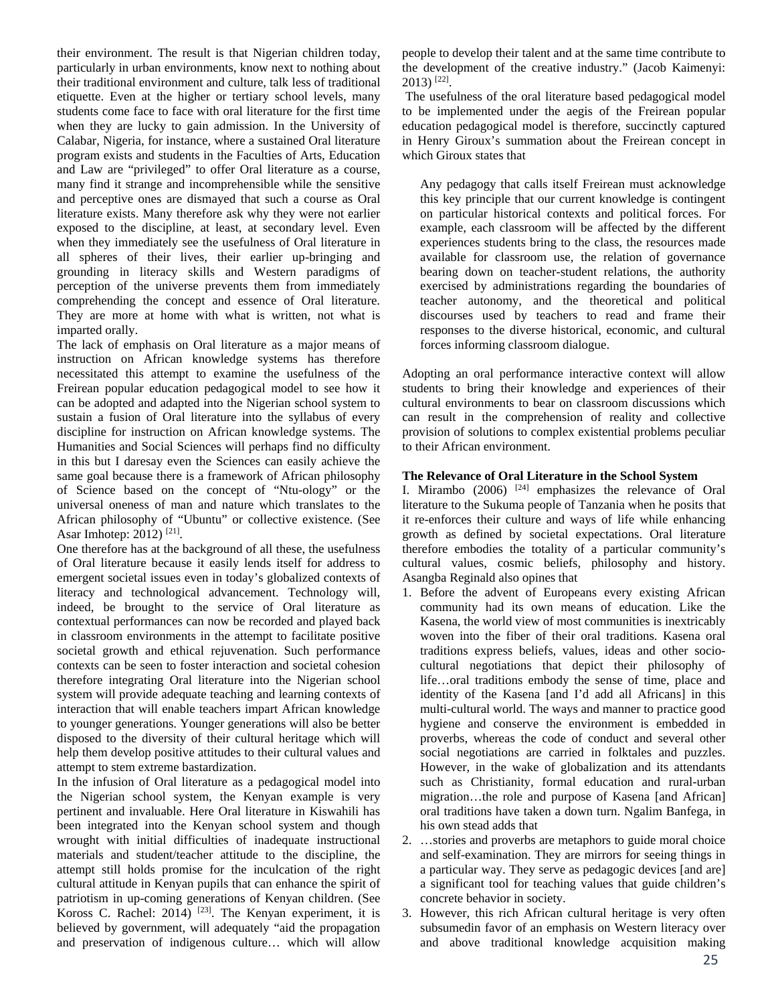their environment. The result is that Nigerian children today, particularly in urban environments, know next to nothing about their traditional environment and culture, talk less of traditional etiquette. Even at the higher or tertiary school levels, many students come face to face with oral literature for the first time when they are lucky to gain admission. In the University of Calabar, Nigeria, for instance, where a sustained Oral literature program exists and students in the Faculties of Arts, Education and Law are "privileged" to offer Oral literature as a course, many find it strange and incomprehensible while the sensitive and perceptive ones are dismayed that such a course as Oral literature exists. Many therefore ask why they were not earlier exposed to the discipline, at least, at secondary level. Even when they immediately see the usefulness of Oral literature in all spheres of their lives, their earlier up-bringing and grounding in literacy skills and Western paradigms of perception of the universe prevents them from immediately comprehending the concept and essence of Oral literature. They are more at home with what is written, not what is imparted orally.

The lack of emphasis on Oral literature as a major means of instruction on African knowledge systems has therefore necessitated this attempt to examine the usefulness of the Freirean popular education pedagogical model to see how it can be adopted and adapted into the Nigerian school system to sustain a fusion of Oral literature into the syllabus of every discipline for instruction on African knowledge systems. The Humanities and Social Sciences will perhaps find no difficulty in this but I daresay even the Sciences can easily achieve the same goal because there is a framework of African philosophy of Science based on the concept of "Ntu-ology" or the universal oneness of man and nature which translates to the African philosophy of "Ubuntu" or collective existence. (See Asar Imhotep: 2012) [21].

One therefore has at the background of all these, the usefulness of Oral literature because it easily lends itself for address to emergent societal issues even in today's globalized contexts of literacy and technological advancement. Technology will, indeed, be brought to the service of Oral literature as contextual performances can now be recorded and played back in classroom environments in the attempt to facilitate positive societal growth and ethical rejuvenation. Such performance contexts can be seen to foster interaction and societal cohesion therefore integrating Oral literature into the Nigerian school system will provide adequate teaching and learning contexts of interaction that will enable teachers impart African knowledge to younger generations. Younger generations will also be better disposed to the diversity of their cultural heritage which will help them develop positive attitudes to their cultural values and attempt to stem extreme bastardization.

In the infusion of Oral literature as a pedagogical model into the Nigerian school system, the Kenyan example is very pertinent and invaluable. Here Oral literature in Kiswahili has been integrated into the Kenyan school system and though wrought with initial difficulties of inadequate instructional materials and student/teacher attitude to the discipline, the attempt still holds promise for the inculcation of the right cultural attitude in Kenyan pupils that can enhance the spirit of patriotism in up-coming generations of Kenyan children. (See Koross C. Rachel:  $2014$ )<sup>[23]</sup>. The Kenyan experiment, it is believed by government, will adequately "aid the propagation and preservation of indigenous culture… which will allow people to develop their talent and at the same time contribute to the development of the creative industry." (Jacob Kaimenyi:  $2013$ <sup>[22]</sup>.

 The usefulness of the oral literature based pedagogical model to be implemented under the aegis of the Freirean popular education pedagogical model is therefore, succinctly captured in Henry Giroux's summation about the Freirean concept in which Giroux states that

Any pedagogy that calls itself Freirean must acknowledge this key principle that our current knowledge is contingent on particular historical contexts and political forces. For example, each classroom will be affected by the different experiences students bring to the class, the resources made available for classroom use, the relation of governance bearing down on teacher-student relations, the authority exercised by administrations regarding the boundaries of teacher autonomy, and the theoretical and political discourses used by teachers to read and frame their responses to the diverse historical, economic, and cultural forces informing classroom dialogue.

Adopting an oral performance interactive context will allow students to bring their knowledge and experiences of their cultural environments to bear on classroom discussions which can result in the comprehension of reality and collective provision of solutions to complex existential problems peculiar to their African environment.

### **The Relevance of Oral Literature in the School System**

I. Mirambo  $(2006)$  <sup>[24]</sup> emphasizes the relevance of Oral literature to the Sukuma people of Tanzania when he posits that it re-enforces their culture and ways of life while enhancing growth as defined by societal expectations. Oral literature therefore embodies the totality of a particular community's cultural values, cosmic beliefs, philosophy and history. Asangba Reginald also opines that

- 1. Before the advent of Europeans every existing African community had its own means of education. Like the Kasena, the world view of most communities is inextricably woven into the fiber of their oral traditions. Kasena oral traditions express beliefs, values, ideas and other sociocultural negotiations that depict their philosophy of life…oral traditions embody the sense of time, place and identity of the Kasena [and I'd add all Africans] in this multi-cultural world. The ways and manner to practice good hygiene and conserve the environment is embedded in proverbs, whereas the code of conduct and several other social negotiations are carried in folktales and puzzles. However, in the wake of globalization and its attendants such as Christianity, formal education and rural-urban migration…the role and purpose of Kasena [and African] oral traditions have taken a down turn. Ngalim Banfega, in his own stead adds that
- 2. …stories and proverbs are metaphors to guide moral choice and self-examination. They are mirrors for seeing things in a particular way. They serve as pedagogic devices [and are] a significant tool for teaching values that guide children's concrete behavior in society.
- 3. However, this rich African cultural heritage is very often subsumedin favor of an emphasis on Western literacy over and above traditional knowledge acquisition making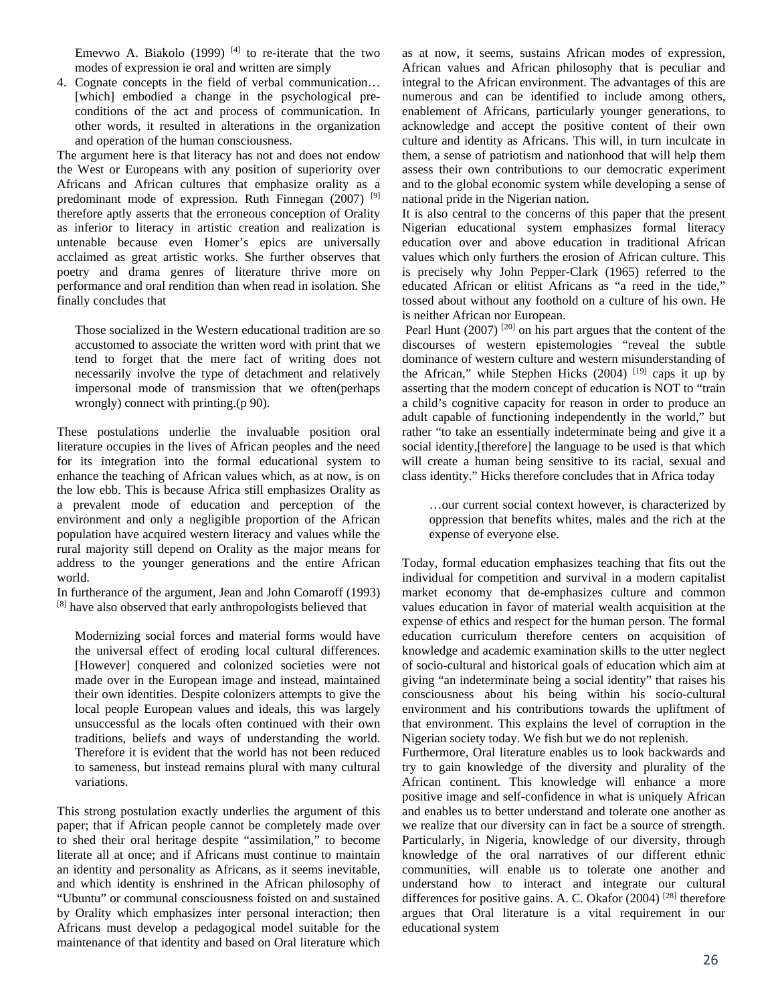Emevwo A. Biakolo (1999)  $[4]$  to re-iterate that the two modes of expression ie oral and written are simply

4. Cognate concepts in the field of verbal communication… [which] embodied a change in the psychological preconditions of the act and process of communication. In other words, it resulted in alterations in the organization and operation of the human consciousness.

The argument here is that literacy has not and does not endow the West or Europeans with any position of superiority over Africans and African cultures that emphasize orality as a predominant mode of expression. Ruth Finnegan (2007) <sup>[9]</sup> therefore aptly asserts that the erroneous conception of Orality as inferior to literacy in artistic creation and realization is untenable because even Homer's epics are universally acclaimed as great artistic works. She further observes that poetry and drama genres of literature thrive more on performance and oral rendition than when read in isolation. She finally concludes that

Those socialized in the Western educational tradition are so accustomed to associate the written word with print that we tend to forget that the mere fact of writing does not necessarily involve the type of detachment and relatively impersonal mode of transmission that we often(perhaps wrongly) connect with printing.(p 90).

These postulations underlie the invaluable position oral literature occupies in the lives of African peoples and the need for its integration into the formal educational system to enhance the teaching of African values which, as at now, is on the low ebb. This is because Africa still emphasizes Orality as a prevalent mode of education and perception of the environment and only a negligible proportion of the African population have acquired western literacy and values while the rural majority still depend on Orality as the major means for address to the younger generations and the entire African world.

In furtherance of the argument, Jean and John Comaroff (1993) [8] have also observed that early anthropologists believed that

Modernizing social forces and material forms would have the universal effect of eroding local cultural differences. [However] conquered and colonized societies were not made over in the European image and instead, maintained their own identities. Despite colonizers attempts to give the local people European values and ideals, this was largely unsuccessful as the locals often continued with their own traditions, beliefs and ways of understanding the world. Therefore it is evident that the world has not been reduced to sameness, but instead remains plural with many cultural variations.

This strong postulation exactly underlies the argument of this paper; that if African people cannot be completely made over to shed their oral heritage despite "assimilation," to become literate all at once; and if Africans must continue to maintain an identity and personality as Africans, as it seems inevitable, and which identity is enshrined in the African philosophy of "Ubuntu" or communal consciousness foisted on and sustained by Orality which emphasizes inter personal interaction; then Africans must develop a pedagogical model suitable for the maintenance of that identity and based on Oral literature which

as at now, it seems, sustains African modes of expression, African values and African philosophy that is peculiar and integral to the African environment. The advantages of this are numerous and can be identified to include among others, enablement of Africans, particularly younger generations, to acknowledge and accept the positive content of their own culture and identity as Africans. This will, in turn inculcate in them, a sense of patriotism and nationhood that will help them assess their own contributions to our democratic experiment and to the global economic system while developing a sense of national pride in the Nigerian nation.

It is also central to the concerns of this paper that the present Nigerian educational system emphasizes formal literacy education over and above education in traditional African values which only furthers the erosion of African culture. This is precisely why John Pepper-Clark (1965) referred to the educated African or elitist Africans as "a reed in the tide," tossed about without any foothold on a culture of his own. He is neither African nor European.

Pearl Hunt  $(2007)$ <sup>[20]</sup> on his part argues that the content of the discourses of western epistemologies "reveal the subtle dominance of western culture and western misunderstanding of the African," while Stephen Hicks  $(2004)$  <sup>[19]</sup> caps it up by asserting that the modern concept of education is NOT to "train a child's cognitive capacity for reason in order to produce an adult capable of functioning independently in the world," but rather "to take an essentially indeterminate being and give it a social identity,[therefore] the language to be used is that which will create a human being sensitive to its racial, sexual and class identity." Hicks therefore concludes that in Africa today

…our current social context however, is characterized by oppression that benefits whites, males and the rich at the expense of everyone else.

Today, formal education emphasizes teaching that fits out the individual for competition and survival in a modern capitalist market economy that de-emphasizes culture and common values education in favor of material wealth acquisition at the expense of ethics and respect for the human person. The formal education curriculum therefore centers on acquisition of knowledge and academic examination skills to the utter neglect of socio-cultural and historical goals of education which aim at giving "an indeterminate being a social identity" that raises his consciousness about his being within his socio-cultural environment and his contributions towards the upliftment of that environment. This explains the level of corruption in the Nigerian society today. We fish but we do not replenish.

Furthermore, Oral literature enables us to look backwards and try to gain knowledge of the diversity and plurality of the African continent. This knowledge will enhance a more positive image and self-confidence in what is uniquely African and enables us to better understand and tolerate one another as we realize that our diversity can in fact be a source of strength. Particularly, in Nigeria, knowledge of our diversity, through knowledge of the oral narratives of our different ethnic communities, will enable us to tolerate one another and understand how to interact and integrate our cultural differences for positive gains. A. C. Okafor (2004) [28] therefore argues that Oral literature is a vital requirement in our educational system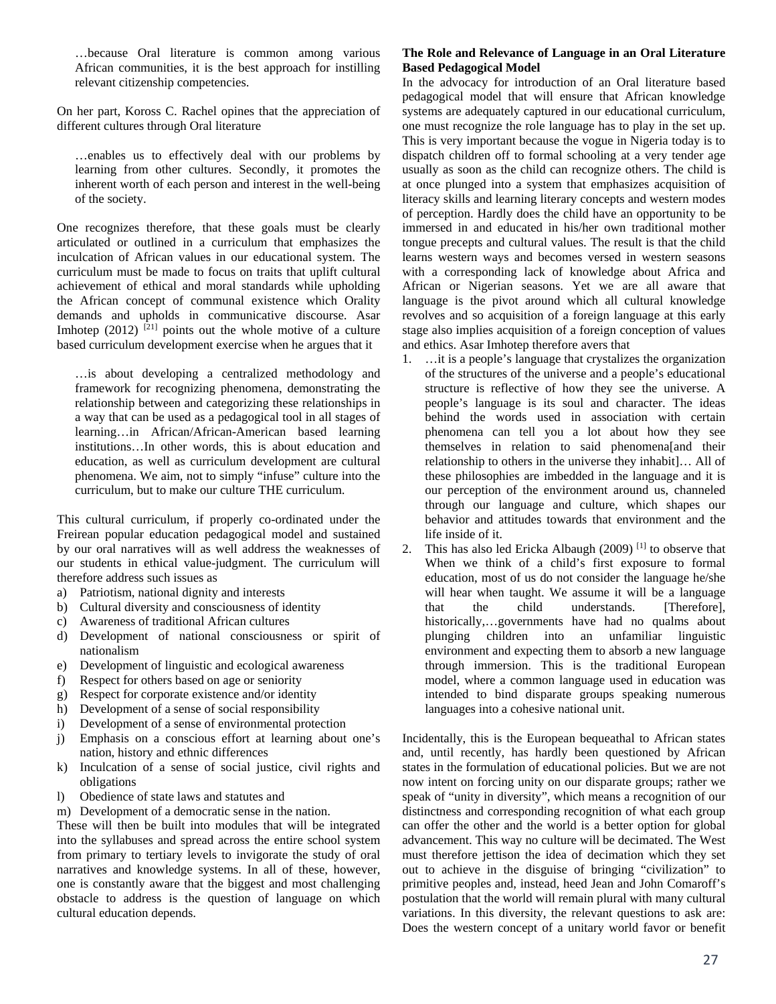…because Oral literature is common among various African communities, it is the best approach for instilling relevant citizenship competencies.

On her part, Koross C. Rachel opines that the appreciation of different cultures through Oral literature

…enables us to effectively deal with our problems by learning from other cultures. Secondly, it promotes the inherent worth of each person and interest in the well-being of the society.

One recognizes therefore, that these goals must be clearly articulated or outlined in a curriculum that emphasizes the inculcation of African values in our educational system. The curriculum must be made to focus on traits that uplift cultural achievement of ethical and moral standards while upholding the African concept of communal existence which Orality demands and upholds in communicative discourse. Asar Imhotep  $(2012)$   $[21]$  points out the whole motive of a culture based curriculum development exercise when he argues that it

…is about developing a centralized methodology and framework for recognizing phenomena, demonstrating the relationship between and categorizing these relationships in a way that can be used as a pedagogical tool in all stages of learning…in African/African-American based learning institutions…In other words, this is about education and education, as well as curriculum development are cultural phenomena. We aim, not to simply "infuse" culture into the curriculum, but to make our culture THE curriculum.

This cultural curriculum, if properly co-ordinated under the Freirean popular education pedagogical model and sustained by our oral narratives will as well address the weaknesses of our students in ethical value-judgment. The curriculum will therefore address such issues as

- a) Patriotism, national dignity and interests
- b) Cultural diversity and consciousness of identity
- c) Awareness of traditional African cultures
- d) Development of national consciousness or spirit of nationalism
- e) Development of linguistic and ecological awareness
- f) Respect for others based on age or seniority
- g) Respect for corporate existence and/or identity
- h) Development of a sense of social responsibility
- i) Development of a sense of environmental protection
- j) Emphasis on a conscious effort at learning about one's nation, history and ethnic differences
- k) Inculcation of a sense of social justice, civil rights and obligations
- l) Obedience of state laws and statutes and
- m) Development of a democratic sense in the nation.

These will then be built into modules that will be integrated into the syllabuses and spread across the entire school system from primary to tertiary levels to invigorate the study of oral narratives and knowledge systems. In all of these, however, one is constantly aware that the biggest and most challenging obstacle to address is the question of language on which cultural education depends.

## **The Role and Relevance of Language in an Oral Literature Based Pedagogical Model**

In the advocacy for introduction of an Oral literature based pedagogical model that will ensure that African knowledge systems are adequately captured in our educational curriculum, one must recognize the role language has to play in the set up. This is very important because the vogue in Nigeria today is to dispatch children off to formal schooling at a very tender age usually as soon as the child can recognize others. The child is at once plunged into a system that emphasizes acquisition of literacy skills and learning literary concepts and western modes of perception. Hardly does the child have an opportunity to be immersed in and educated in his/her own traditional mother tongue precepts and cultural values. The result is that the child learns western ways and becomes versed in western seasons with a corresponding lack of knowledge about Africa and African or Nigerian seasons. Yet we are all aware that language is the pivot around which all cultural knowledge revolves and so acquisition of a foreign language at this early stage also implies acquisition of a foreign conception of values and ethics. Asar Imhotep therefore avers that

- 1. …it is a people's language that crystalizes the organization of the structures of the universe and a people's educational structure is reflective of how they see the universe. A people's language is its soul and character. The ideas behind the words used in association with certain phenomena can tell you a lot about how they see themselves in relation to said phenomena[and their relationship to others in the universe they inhabit]… All of these philosophies are imbedded in the language and it is our perception of the environment around us, channeled through our language and culture, which shapes our behavior and attitudes towards that environment and the life inside of it.
- 2. This has also led Ericka Albaugh  $(2009)$ <sup>[1]</sup> to observe that When we think of a child's first exposure to formal education, most of us do not consider the language he/she will hear when taught. We assume it will be a language that the child understands. [Therefore], historically,…governments have had no qualms about plunging children into an unfamiliar linguistic environment and expecting them to absorb a new language through immersion. This is the traditional European model, where a common language used in education was intended to bind disparate groups speaking numerous languages into a cohesive national unit.

Incidentally, this is the European bequeathal to African states and, until recently, has hardly been questioned by African states in the formulation of educational policies. But we are not now intent on forcing unity on our disparate groups; rather we speak of "unity in diversity", which means a recognition of our distinctness and corresponding recognition of what each group can offer the other and the world is a better option for global advancement. This way no culture will be decimated. The West must therefore jettison the idea of decimation which they set out to achieve in the disguise of bringing "civilization" to primitive peoples and, instead, heed Jean and John Comaroff's postulation that the world will remain plural with many cultural variations. In this diversity, the relevant questions to ask are: Does the western concept of a unitary world favor or benefit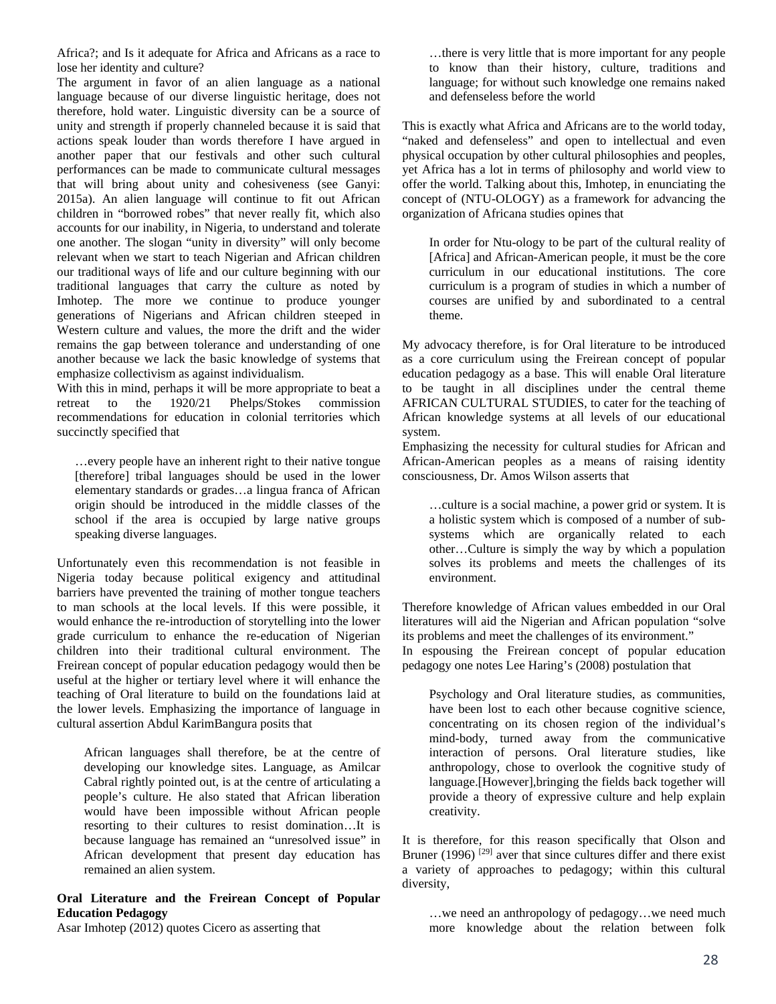Africa?; and Is it adequate for Africa and Africans as a race to lose her identity and culture?

The argument in favor of an alien language as a national language because of our diverse linguistic heritage, does not therefore, hold water. Linguistic diversity can be a source of unity and strength if properly channeled because it is said that actions speak louder than words therefore I have argued in another paper that our festivals and other such cultural performances can be made to communicate cultural messages that will bring about unity and cohesiveness (see Ganyi: 2015a). An alien language will continue to fit out African children in "borrowed robes" that never really fit, which also accounts for our inability, in Nigeria, to understand and tolerate one another. The slogan "unity in diversity" will only become relevant when we start to teach Nigerian and African children our traditional ways of life and our culture beginning with our traditional languages that carry the culture as noted by Imhotep. The more we continue to produce younger generations of Nigerians and African children steeped in Western culture and values, the more the drift and the wider remains the gap between tolerance and understanding of one another because we lack the basic knowledge of systems that emphasize collectivism as against individualism.

With this in mind, perhaps it will be more appropriate to beat a retreat to the 1920/21 Phelps/Stokes commission recommendations for education in colonial territories which succinctly specified that

…every people have an inherent right to their native tongue [therefore] tribal languages should be used in the lower elementary standards or grades…a lingua franca of African origin should be introduced in the middle classes of the school if the area is occupied by large native groups speaking diverse languages.

Unfortunately even this recommendation is not feasible in Nigeria today because political exigency and attitudinal barriers have prevented the training of mother tongue teachers to man schools at the local levels. If this were possible, it would enhance the re-introduction of storytelling into the lower grade curriculum to enhance the re-education of Nigerian children into their traditional cultural environment. The Freirean concept of popular education pedagogy would then be useful at the higher or tertiary level where it will enhance the teaching of Oral literature to build on the foundations laid at the lower levels. Emphasizing the importance of language in cultural assertion Abdul KarimBangura posits that

African languages shall therefore, be at the centre of developing our knowledge sites. Language, as Amilcar Cabral rightly pointed out, is at the centre of articulating a people's culture. He also stated that African liberation would have been impossible without African people resorting to their cultures to resist domination…It is because language has remained an "unresolved issue" in African development that present day education has remained an alien system.

## **Oral Literature and the Freirean Concept of Popular Education Pedagogy**

Asar Imhotep (2012) quotes Cicero as asserting that

…there is very little that is more important for any people to know than their history, culture, traditions and language; for without such knowledge one remains naked and defenseless before the world

This is exactly what Africa and Africans are to the world today, "naked and defenseless" and open to intellectual and even physical occupation by other cultural philosophies and peoples, yet Africa has a lot in terms of philosophy and world view to offer the world. Talking about this, Imhotep, in enunciating the concept of (NTU-OLOGY) as a framework for advancing the organization of Africana studies opines that

In order for Ntu-ology to be part of the cultural reality of [Africa] and African-American people, it must be the core curriculum in our educational institutions. The core curriculum is a program of studies in which a number of courses are unified by and subordinated to a central theme.

My advocacy therefore, is for Oral literature to be introduced as a core curriculum using the Freirean concept of popular education pedagogy as a base. This will enable Oral literature to be taught in all disciplines under the central theme AFRICAN CULTURAL STUDIES, to cater for the teaching of African knowledge systems at all levels of our educational system.

Emphasizing the necessity for cultural studies for African and African-American peoples as a means of raising identity consciousness, Dr. Amos Wilson asserts that

…culture is a social machine, a power grid or system. It is a holistic system which is composed of a number of subsystems which are organically related to each other…Culture is simply the way by which a population solves its problems and meets the challenges of its environment.

Therefore knowledge of African values embedded in our Oral literatures will aid the Nigerian and African population "solve its problems and meet the challenges of its environment."

In espousing the Freirean concept of popular education pedagogy one notes Lee Haring's (2008) postulation that

Psychology and Oral literature studies, as communities, have been lost to each other because cognitive science, concentrating on its chosen region of the individual's mind-body, turned away from the communicative interaction of persons. Oral literature studies, like anthropology, chose to overlook the cognitive study of language.[However],bringing the fields back together will provide a theory of expressive culture and help explain creativity.

It is therefore, for this reason specifically that Olson and Bruner (1996)<sup>[29]</sup> aver that since cultures differ and there exist a variety of approaches to pedagogy; within this cultural diversity,

…we need an anthropology of pedagogy…we need much more knowledge about the relation between folk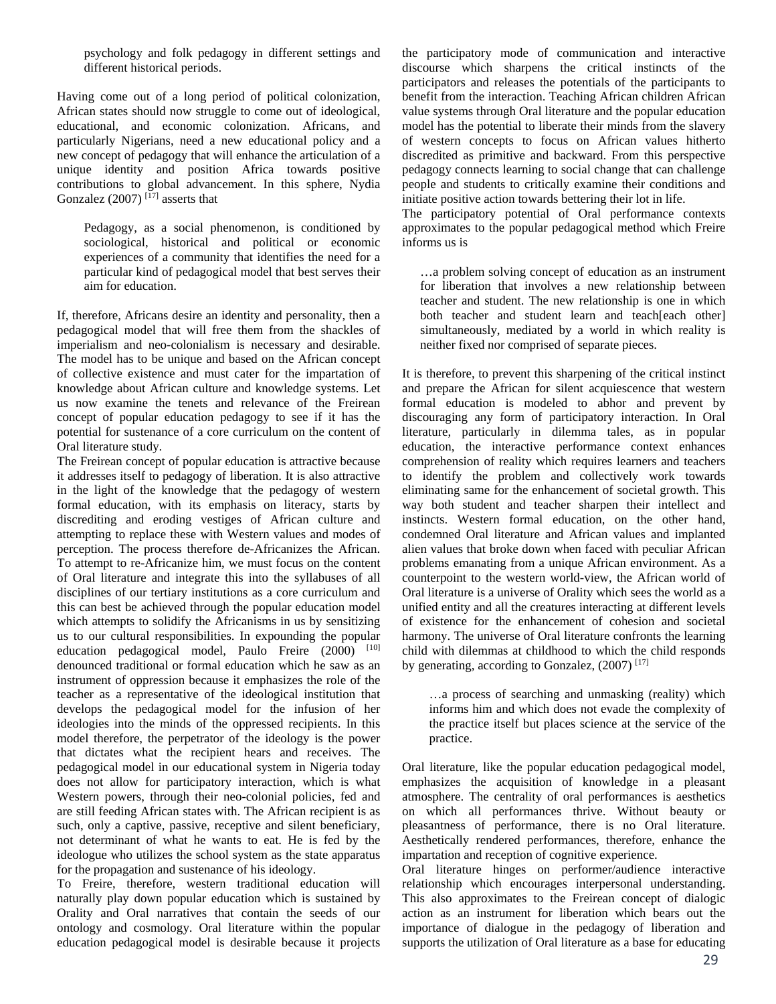psychology and folk pedagogy in different settings and different historical periods.

Having come out of a long period of political colonization, African states should now struggle to come out of ideological, educational, and economic colonization. Africans, and particularly Nigerians, need a new educational policy and a new concept of pedagogy that will enhance the articulation of a unique identity and position Africa towards positive contributions to global advancement. In this sphere, Nydia Gonzalez (2007)  $^{[17]}$  asserts that

Pedagogy, as a social phenomenon, is conditioned by sociological, historical and political or economic experiences of a community that identifies the need for a particular kind of pedagogical model that best serves their aim for education.

If, therefore, Africans desire an identity and personality, then a pedagogical model that will free them from the shackles of imperialism and neo-colonialism is necessary and desirable. The model has to be unique and based on the African concept of collective existence and must cater for the impartation of knowledge about African culture and knowledge systems. Let us now examine the tenets and relevance of the Freirean concept of popular education pedagogy to see if it has the potential for sustenance of a core curriculum on the content of Oral literature study.

The Freirean concept of popular education is attractive because it addresses itself to pedagogy of liberation. It is also attractive in the light of the knowledge that the pedagogy of western formal education, with its emphasis on literacy, starts by discrediting and eroding vestiges of African culture and attempting to replace these with Western values and modes of perception. The process therefore de-Africanizes the African. To attempt to re-Africanize him, we must focus on the content of Oral literature and integrate this into the syllabuses of all disciplines of our tertiary institutions as a core curriculum and this can best be achieved through the popular education model which attempts to solidify the Africanisms in us by sensitizing us to our cultural responsibilities. In expounding the popular education pedagogical model, Paulo Freire (2000) [10] denounced traditional or formal education which he saw as an instrument of oppression because it emphasizes the role of the teacher as a representative of the ideological institution that develops the pedagogical model for the infusion of her ideologies into the minds of the oppressed recipients. In this model therefore, the perpetrator of the ideology is the power that dictates what the recipient hears and receives. The pedagogical model in our educational system in Nigeria today does not allow for participatory interaction, which is what Western powers, through their neo-colonial policies, fed and are still feeding African states with. The African recipient is as such, only a captive, passive, receptive and silent beneficiary, not determinant of what he wants to eat. He is fed by the ideologue who utilizes the school system as the state apparatus for the propagation and sustenance of his ideology.

To Freire, therefore, western traditional education will naturally play down popular education which is sustained by Orality and Oral narratives that contain the seeds of our ontology and cosmology. Oral literature within the popular education pedagogical model is desirable because it projects

the participatory mode of communication and interactive discourse which sharpens the critical instincts of the participators and releases the potentials of the participants to benefit from the interaction. Teaching African children African value systems through Oral literature and the popular education model has the potential to liberate their minds from the slavery of western concepts to focus on African values hitherto discredited as primitive and backward. From this perspective pedagogy connects learning to social change that can challenge people and students to critically examine their conditions and initiate positive action towards bettering their lot in life.

The participatory potential of Oral performance contexts approximates to the popular pedagogical method which Freire informs us is

…a problem solving concept of education as an instrument for liberation that involves a new relationship between teacher and student. The new relationship is one in which both teacher and student learn and teach[each other] simultaneously, mediated by a world in which reality is neither fixed nor comprised of separate pieces.

It is therefore, to prevent this sharpening of the critical instinct and prepare the African for silent acquiescence that western formal education is modeled to abhor and prevent by discouraging any form of participatory interaction. In Oral literature, particularly in dilemma tales, as in popular education, the interactive performance context enhances comprehension of reality which requires learners and teachers to identify the problem and collectively work towards eliminating same for the enhancement of societal growth. This way both student and teacher sharpen their intellect and instincts. Western formal education, on the other hand, condemned Oral literature and African values and implanted alien values that broke down when faced with peculiar African problems emanating from a unique African environment. As a counterpoint to the western world-view, the African world of Oral literature is a universe of Orality which sees the world as a unified entity and all the creatures interacting at different levels of existence for the enhancement of cohesion and societal harmony. The universe of Oral literature confronts the learning child with dilemmas at childhood to which the child responds by generating, according to Gonzalez,  $(2007)$ <sup>[17]</sup>

…a process of searching and unmasking (reality) which informs him and which does not evade the complexity of the practice itself but places science at the service of the practice.

Oral literature, like the popular education pedagogical model, emphasizes the acquisition of knowledge in a pleasant atmosphere. The centrality of oral performances is aesthetics on which all performances thrive. Without beauty or pleasantness of performance, there is no Oral literature. Aesthetically rendered performances, therefore, enhance the impartation and reception of cognitive experience.

Oral literature hinges on performer/audience interactive relationship which encourages interpersonal understanding. This also approximates to the Freirean concept of dialogic action as an instrument for liberation which bears out the importance of dialogue in the pedagogy of liberation and supports the utilization of Oral literature as a base for educating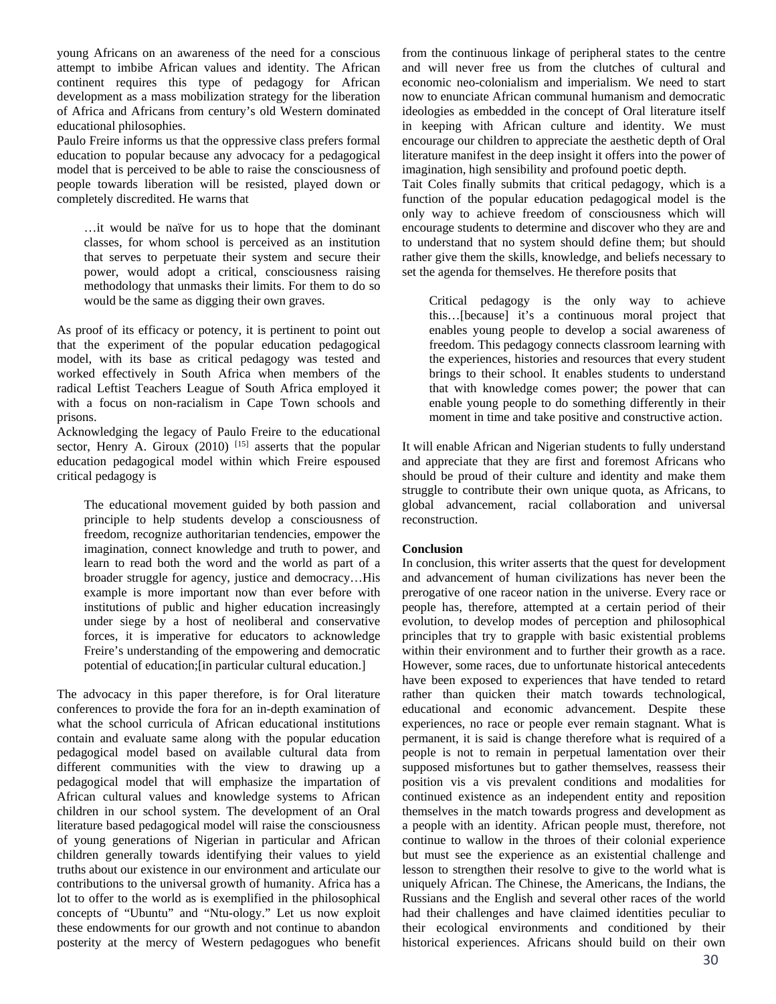young Africans on an awareness of the need for a conscious attempt to imbibe African values and identity. The African continent requires this type of pedagogy for African development as a mass mobilization strategy for the liberation of Africa and Africans from century's old Western dominated educational philosophies.

Paulo Freire informs us that the oppressive class prefers formal education to popular because any advocacy for a pedagogical model that is perceived to be able to raise the consciousness of people towards liberation will be resisted, played down or completely discredited. He warns that

…it would be naïve for us to hope that the dominant classes, for whom school is perceived as an institution that serves to perpetuate their system and secure their power, would adopt a critical, consciousness raising methodology that unmasks their limits. For them to do so would be the same as digging their own graves.

As proof of its efficacy or potency, it is pertinent to point out that the experiment of the popular education pedagogical model, with its base as critical pedagogy was tested and worked effectively in South Africa when members of the radical Leftist Teachers League of South Africa employed it with a focus on non-racialism in Cape Town schools and prisons.

Acknowledging the legacy of Paulo Freire to the educational sector, Henry A. Giroux  $(2010)$ <sup>[15]</sup> asserts that the popular education pedagogical model within which Freire espoused critical pedagogy is

The educational movement guided by both passion and principle to help students develop a consciousness of freedom, recognize authoritarian tendencies, empower the imagination, connect knowledge and truth to power, and learn to read both the word and the world as part of a broader struggle for agency, justice and democracy…His example is more important now than ever before with institutions of public and higher education increasingly under siege by a host of neoliberal and conservative forces, it is imperative for educators to acknowledge Freire's understanding of the empowering and democratic potential of education;[in particular cultural education.]

The advocacy in this paper therefore, is for Oral literature conferences to provide the fora for an in-depth examination of what the school curricula of African educational institutions contain and evaluate same along with the popular education pedagogical model based on available cultural data from different communities with the view to drawing up a pedagogical model that will emphasize the impartation of African cultural values and knowledge systems to African children in our school system. The development of an Oral literature based pedagogical model will raise the consciousness of young generations of Nigerian in particular and African children generally towards identifying their values to yield truths about our existence in our environment and articulate our contributions to the universal growth of humanity. Africa has a lot to offer to the world as is exemplified in the philosophical concepts of "Ubuntu" and "Ntu-ology." Let us now exploit these endowments for our growth and not continue to abandon posterity at the mercy of Western pedagogues who benefit

from the continuous linkage of peripheral states to the centre and will never free us from the clutches of cultural and economic neo-colonialism and imperialism. We need to start now to enunciate African communal humanism and democratic ideologies as embedded in the concept of Oral literature itself in keeping with African culture and identity. We must encourage our children to appreciate the aesthetic depth of Oral literature manifest in the deep insight it offers into the power of imagination, high sensibility and profound poetic depth.

Tait Coles finally submits that critical pedagogy, which is a function of the popular education pedagogical model is the only way to achieve freedom of consciousness which will encourage students to determine and discover who they are and to understand that no system should define them; but should rather give them the skills, knowledge, and beliefs necessary to set the agenda for themselves. He therefore posits that

Critical pedagogy is the only way to achieve this…[because] it's a continuous moral project that enables young people to develop a social awareness of freedom. This pedagogy connects classroom learning with the experiences, histories and resources that every student brings to their school. It enables students to understand that with knowledge comes power; the power that can enable young people to do something differently in their moment in time and take positive and constructive action.

It will enable African and Nigerian students to fully understand and appreciate that they are first and foremost Africans who should be proud of their culture and identity and make them struggle to contribute their own unique quota, as Africans, to global advancement, racial collaboration and universal reconstruction.

#### **Conclusion**

In conclusion, this writer asserts that the quest for development and advancement of human civilizations has never been the prerogative of one raceor nation in the universe. Every race or people has, therefore, attempted at a certain period of their evolution, to develop modes of perception and philosophical principles that try to grapple with basic existential problems within their environment and to further their growth as a race. However, some races, due to unfortunate historical antecedents have been exposed to experiences that have tended to retard rather than quicken their match towards technological, educational and economic advancement. Despite these experiences, no race or people ever remain stagnant. What is permanent, it is said is change therefore what is required of a people is not to remain in perpetual lamentation over their supposed misfortunes but to gather themselves, reassess their position vis a vis prevalent conditions and modalities for continued existence as an independent entity and reposition themselves in the match towards progress and development as a people with an identity. African people must, therefore, not continue to wallow in the throes of their colonial experience but must see the experience as an existential challenge and lesson to strengthen their resolve to give to the world what is uniquely African. The Chinese, the Americans, the Indians, the Russians and the English and several other races of the world had their challenges and have claimed identities peculiar to their ecological environments and conditioned by their historical experiences. Africans should build on their own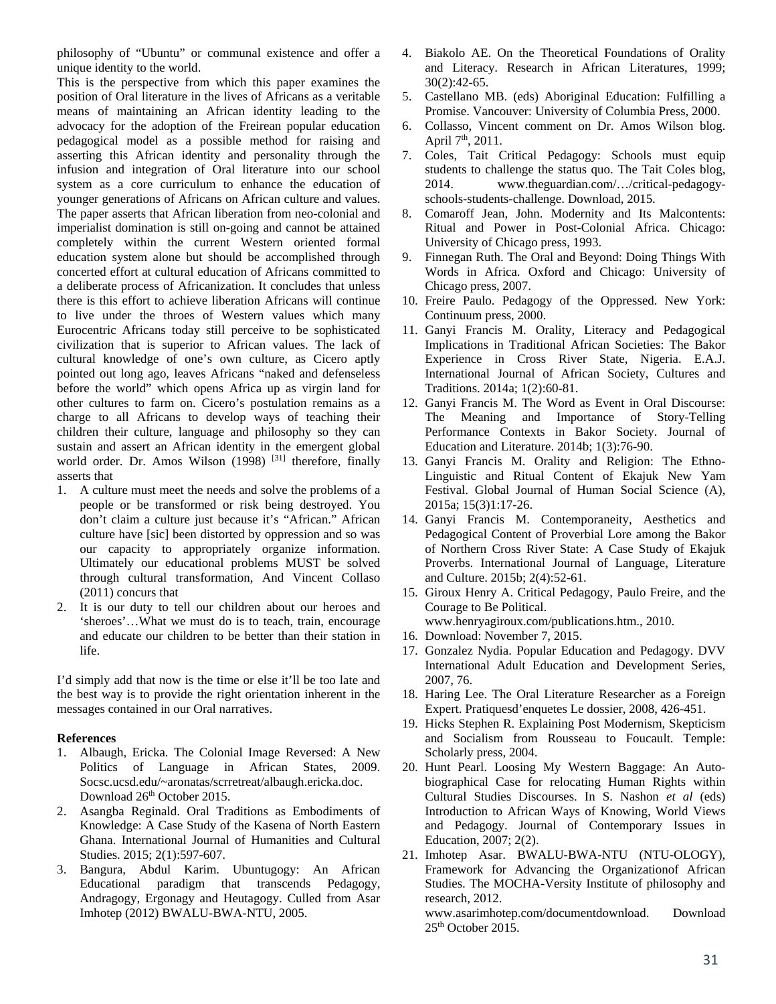philosophy of "Ubuntu" or communal existence and offer a unique identity to the world.

This is the perspective from which this paper examines the position of Oral literature in the lives of Africans as a veritable means of maintaining an African identity leading to the advocacy for the adoption of the Freirean popular education pedagogical model as a possible method for raising and asserting this African identity and personality through the infusion and integration of Oral literature into our school system as a core curriculum to enhance the education of younger generations of Africans on African culture and values. The paper asserts that African liberation from neo-colonial and imperialist domination is still on-going and cannot be attained completely within the current Western oriented formal education system alone but should be accomplished through concerted effort at cultural education of Africans committed to a deliberate process of Africanization. It concludes that unless there is this effort to achieve liberation Africans will continue to live under the throes of Western values which many Eurocentric Africans today still perceive to be sophisticated civilization that is superior to African values. The lack of cultural knowledge of one's own culture, as Cicero aptly pointed out long ago, leaves Africans "naked and defenseless before the world" which opens Africa up as virgin land for other cultures to farm on. Cicero's postulation remains as a charge to all Africans to develop ways of teaching their children their culture, language and philosophy so they can sustain and assert an African identity in the emergent global world order. Dr. Amos Wilson (1998)<sup>[31]</sup> therefore, finally asserts that

- 1. A culture must meet the needs and solve the problems of a people or be transformed or risk being destroyed. You don't claim a culture just because it's "African." African culture have [sic] been distorted by oppression and so was our capacity to appropriately organize information. Ultimately our educational problems MUST be solved through cultural transformation, And Vincent Collaso (2011) concurs that
- 2. It is our duty to tell our children about our heroes and 'sheroes'…What we must do is to teach, train, encourage and educate our children to be better than their station in life.

I'd simply add that now is the time or else it'll be too late and the best way is to provide the right orientation inherent in the messages contained in our Oral narratives.

## **References**

- 1. Albaugh, Ericka. The Colonial Image Reversed: A New Politics of Language in African States, 2009. Socsc.ucsd.edu/~aronatas/scrretreat/albaugh.ericka.doc. Download  $26<sup>th</sup>$  October 2015.
- 2. Asangba Reginald. Oral Traditions as Embodiments of Knowledge: A Case Study of the Kasena of North Eastern Ghana. International Journal of Humanities and Cultural Studies. 2015; 2(1):597-607.
- 3. Bangura, Abdul Karim. Ubuntugogy: An African Educational paradigm that transcends Pedagogy, Andragogy, Ergonagy and Heutagogy. Culled from Asar Imhotep (2012) BWALU-BWA-NTU, 2005.
- 4. Biakolo AE. On the Theoretical Foundations of Orality and Literacy. Research in African Literatures, 1999; 30(2):42-65.
- 5. Castellano MB. (eds) Aboriginal Education: Fulfilling a Promise. Vancouver: University of Columbia Press, 2000.
- 6. Collasso, Vincent comment on Dr. Amos Wilson blog. April 7<sup>th</sup>, 2011.
- 7. Coles, Tait Critical Pedagogy: Schools must equip students to challenge the status quo. The Tait Coles blog, 2014. www.theguardian.com/…/critical-pedagogyschools-students-challenge. Download, 2015.
- 8. Comaroff Jean, John. Modernity and Its Malcontents: Ritual and Power in Post-Colonial Africa. Chicago: University of Chicago press, 1993.
- 9. Finnegan Ruth. The Oral and Beyond: Doing Things With Words in Africa. Oxford and Chicago: University of Chicago press, 2007.
- 10. Freire Paulo. Pedagogy of the Oppressed. New York: Continuum press, 2000.
- 11. Ganyi Francis M. Orality, Literacy and Pedagogical Implications in Traditional African Societies: The Bakor Experience in Cross River State, Nigeria. E.A.J. International Journal of African Society, Cultures and Traditions. 2014a; 1(2):60-81.
- 12. Ganyi Francis M. The Word as Event in Oral Discourse: The Meaning and Importance of Story-Telling Performance Contexts in Bakor Society. Journal of Education and Literature. 2014b; 1(3):76-90.
- 13. Ganyi Francis M. Orality and Religion: The Ethno-Linguistic and Ritual Content of Ekajuk New Yam Festival. Global Journal of Human Social Science (A), 2015a; 15(3)1:17-26.
- 14. Ganyi Francis M. Contemporaneity, Aesthetics and Pedagogical Content of Proverbial Lore among the Bakor of Northern Cross River State: A Case Study of Ekajuk Proverbs. International Journal of Language, Literature and Culture. 2015b; 2(4):52-61.
- 15. Giroux Henry A. Critical Pedagogy, Paulo Freire, and the Courage to Be Political. www.henryagiroux.com/publications.htm., 2010.
- 16. Download: November 7, 2015.
- 17. Gonzalez Nydia. Popular Education and Pedagogy. DVV International Adult Education and Development Series, 2007, 76.
- 18. Haring Lee. The Oral Literature Researcher as a Foreign Expert. Pratiquesd'enquetes Le dossier, 2008, 426-451.
- 19. Hicks Stephen R. Explaining Post Modernism, Skepticism and Socialism from Rousseau to Foucault. Temple: Scholarly press, 2004.
- 20. Hunt Pearl. Loosing My Western Baggage: An Autobiographical Case for relocating Human Rights within Cultural Studies Discourses. In S. Nashon *et al* (eds) Introduction to African Ways of Knowing, World Views and Pedagogy. Journal of Contemporary Issues in Education, 2007; 2(2).
- 21. Imhotep Asar. BWALU-BWA-NTU (NTU-OLOGY), Framework for Advancing the Organizationof African Studies. The MOCHA-Versity Institute of philosophy and research, 2012. www.asarimhotep.com/documentdownload. Download 25th October 2015.